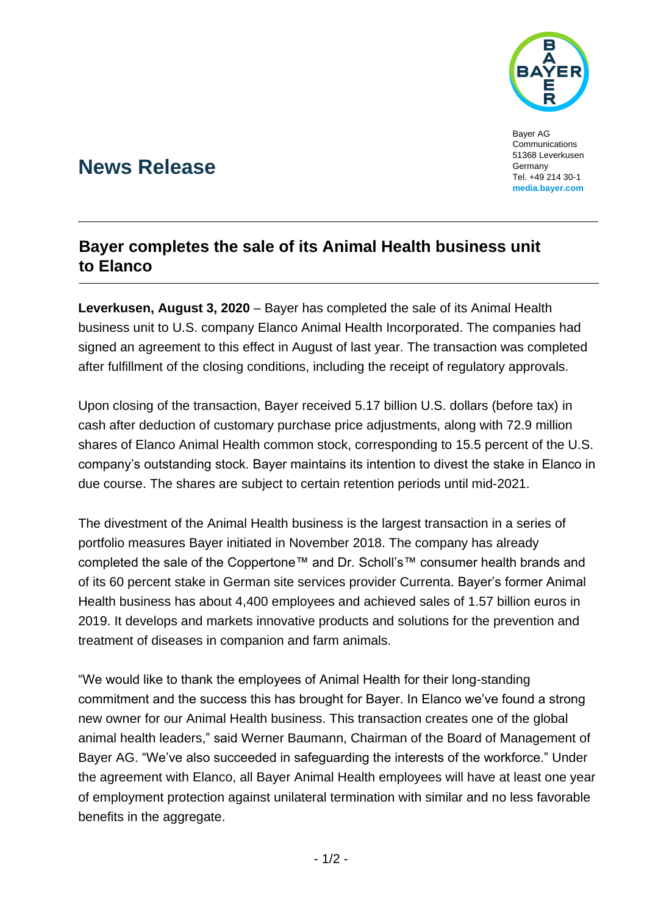

Bayer AG Communications 51368 Leverkusen Germany Tel. +49 214 30-1 **[media.bayer.com](http://media.bayer.de/)**

# **News Release**

## **Bayer completes the sale of its Animal Health business unit to Elanco**

**Leverkusen, August 3, 2020** – Bayer has completed the sale of its Animal Health business unit to U.S. company Elanco Animal Health Incorporated. The companies had signed an agreement to this effect in August of last year. The transaction was completed after fulfillment of the closing conditions, including the receipt of regulatory approvals.

Upon closing of the transaction, Bayer received 5.17 billion U.S. dollars (before tax) in cash after deduction of customary purchase price adjustments, along with 72.9 million shares of Elanco Animal Health common stock, corresponding to 15.5 percent of the U.S. company's outstanding stock. Bayer maintains its intention to divest the stake in Elanco in due course. The shares are subject to certain retention periods until mid-2021.

The divestment of the Animal Health business is the largest transaction in a series of portfolio measures Bayer initiated in November 2018. The company has already completed the sale of the Coppertone™ and Dr. Scholl's™ consumer health brands and of its 60 percent stake in German site services provider Currenta. Bayer's former Animal Health business has about 4,400 employees and achieved sales of 1.57 billion euros in 2019. It develops and markets innovative products and solutions for the prevention and treatment of diseases in companion and farm animals.

"We would like to thank the employees of Animal Health for their long-standing commitment and the success this has brought for Bayer. In Elanco we've found a strong new owner for our Animal Health business. This transaction creates one of the global animal health leaders," said Werner Baumann, Chairman of the Board of Management of Bayer AG. "We've also succeeded in safeguarding the interests of the workforce." Under the agreement with Elanco, all Bayer Animal Health employees will have at least one year of employment protection against unilateral termination with similar and no less favorable benefits in the aggregate.